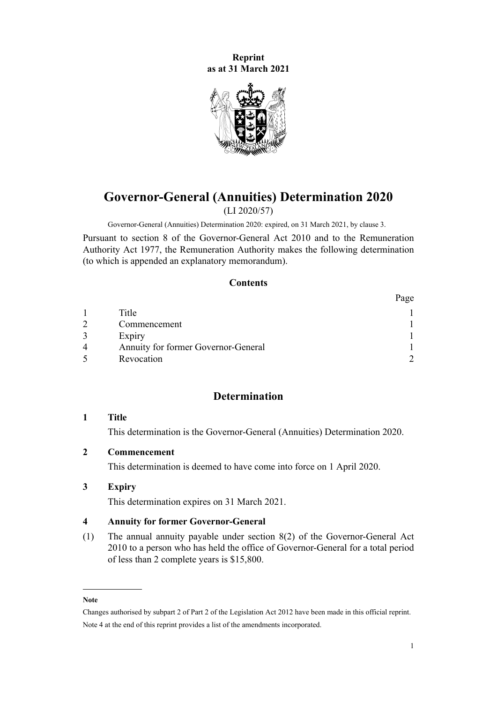<span id="page-0-0"></span>**Reprint as at 31 March 2021**



# **Governor-General (Annuities) Determination 2020**

(LI 2020/57)

Governor-General (Annuities) Determination 2020: expired, on 31 March 2021, by clause 3.

Pursuant to [section 8](http://legislation.govt.nz/pdflink.aspx?id=DLM2999125) of the [Governor-General Act 2010](http://legislation.govt.nz/pdflink.aspx?id=DLM2999100) and to the [Remuneration](http://legislation.govt.nz/pdflink.aspx?id=DLM15636) [Authority Act 1977](http://legislation.govt.nz/pdflink.aspx?id=DLM15636), the Remuneration Authority makes the following determination (to which is appended an explanatory memorandum).

#### **Contents**

|   |                                     | Page |
|---|-------------------------------------|------|
|   | Title                               |      |
|   | Commencement                        |      |
|   | Expiry                              |      |
| 4 | Annuity for former Governor-General |      |
|   | Revocation                          |      |

## **Determination**

#### **1 Title**

This determination is the Governor-General (Annuities) Determination 2020.

## **2 Commencement**

This determination is deemed to have come into force on 1 April 2020.

## **3 Expiry**

This determination expires on 31 March 2021.

#### **4 Annuity for former Governor-General**

(1) The annual annuity payable under [section 8\(2\)](http://legislation.govt.nz/pdflink.aspx?id=DLM2999125) of the Governor-General Act 2010 to a person who has held the office of Governor-General for a total period of less than 2 complete years is \$15,800.

**Note**

Changes authorised by [subpart 2](http://legislation.govt.nz/pdflink.aspx?id=DLM2998524) of Part 2 of the Legislation Act 2012 have been made in this official reprint. Note 4 at the end of this reprint provides a list of the amendments incorporated.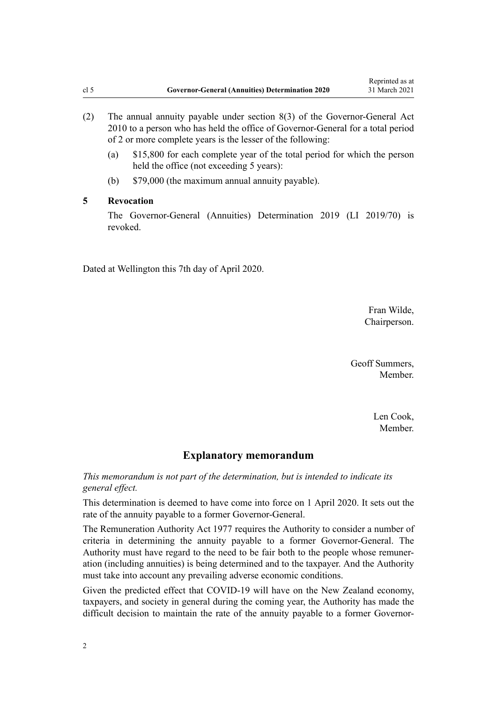- <span id="page-1-0"></span>(2) The annual annuity payable under [section 8\(3\)](http://legislation.govt.nz/pdflink.aspx?id=DLM2999125) of the Governor-General Act 2010 to a person who has held the office of Governor-General for a total period of 2 or more complete years is the lesser of the following:
	- (a) \$15,800 for each complete year of the total period for which the person held the office (not exceeding 5 years):
	- (b) \$79,000 (the maximum annual annuity payable).

## **5 Revocation**

The [Governor-General \(Annuities\) Determination 2019](http://legislation.govt.nz/pdflink.aspx?id=LMS180410) (LI 2019/70) is revoked.

Dated at Wellington this 7th day of April 2020.

Fran Wilde, Chairperson.

Geoff Summers, Member.

> Len Cook, Member.

#### **Explanatory memorandum**

*This memorandum is not part of the determination, but is intended to indicate its general effect.*

This determination is deemed to have come into force on 1 April 2020. It sets out the rate of the annuity payable to a former Governor-General.

The [Remuneration Authority Act 1977](http://legislation.govt.nz/pdflink.aspx?id=DLM15636) requires the Authority to consider a number of criteria in determining the annuity payable to a former Governor-General. The Authority must have regard to the need to be fair both to the people whose remuneration (including annuities) is being determined and to the taxpayer. And the Authority must take into account any prevailing adverse economic conditions.

Given the predicted effect that COVID-19 will have on the New Zealand economy, taxpayers, and society in general during the coming year, the Authority has made the difficult decision to maintain the rate of the annuity payable to a former Governor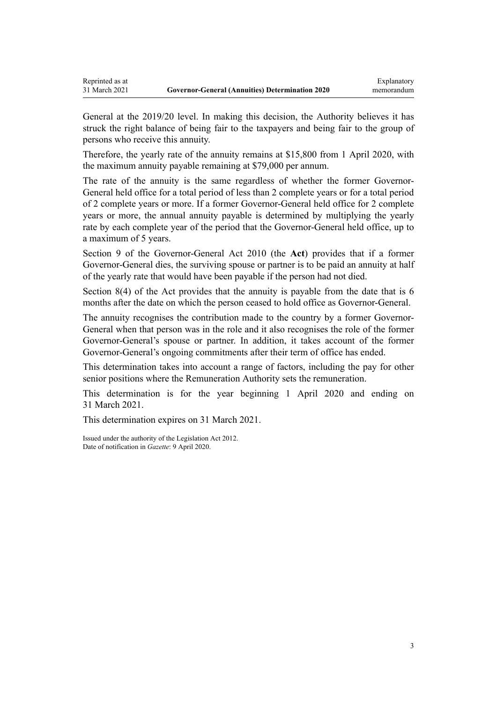General at the 2019/20 level. In making this decision, the Authority believes it has struck the right balance of being fair to the taxpayers and being fair to the group of persons who receive this annuity.

Therefore, the yearly rate of the annuity remains at \$15,800 from 1 April 2020, with the maximum annuity payable remaining at \$79,000 per annum.

The rate of the annuity is the same regardless of whether the former Governor-General held office for a total period of less than 2 complete years or for a total period of 2 complete years or more. If a former Governor-General held office for 2 complete years or more, the annual annuity payable is determined by multiplying the yearly rate by each complete year of the period that the Governor-General held office, up to a maximum of 5 years.

[Section 9](http://legislation.govt.nz/pdflink.aspx?id=DLM2999126) of the Governor-General Act 2010 (the **Act**) provides that if a former Governor-General dies, the surviving spouse or partner is to be paid an annuity at half of the yearly rate that would have been payable if the person had not died.

[Section 8\(4\)](http://legislation.govt.nz/pdflink.aspx?id=DLM2999125) of the Act provides that the annuity is payable from the date that is 6 months after the date on which the person ceased to hold office as Governor-General.

The annuity recognises the contribution made to the country by a former Governor-General when that person was in the role and it also recognises the role of the former Governor-General's spouse or partner. In addition, it takes account of the former Governor-General's ongoing commitments after their term of office has ended.

This determination takes into account a range of factors, including the pay for other senior positions where the Remuneration Authority sets the remuneration.

This determination is for the year beginning 1 April 2020 and ending on 31 March 2021.

This determination expires on 31 March 2021.

Issued under the authority of the [Legislation Act 2012](http://legislation.govt.nz/pdflink.aspx?id=DLM2997643). Date of notification in *Gazette*: 9 April 2020.